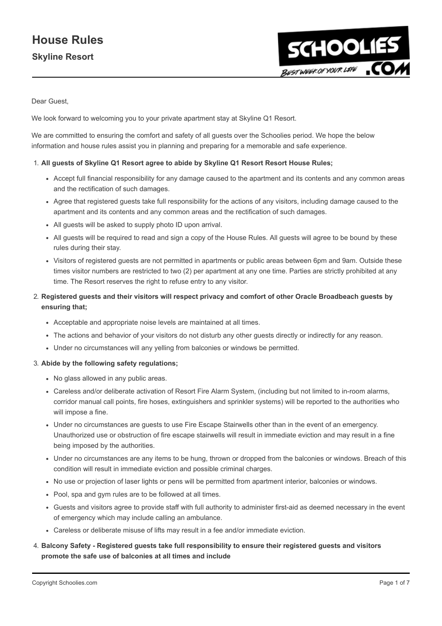

Dear Guest,

We look forward to welcoming you to your private apartment stay at Skyline Q1 Resort.

We are committed to ensuring the comfort and safety of all guests over the Schoolies period. We hope the below information and house rules assist you in planning and preparing for a memorable and safe experience.

#### 1. All guests of Skyline Q1 Resort agree to abide by Skyline Q1 Resort Resort House Rules;

- Accept full financial responsibility for any damage caused to the apartment and its contents and any common areas and the rectification of such damages.
- Agree that registered guests take full responsibility for the actions of any visitors, including damage caused to the apartment and its contents and any common areas and the rectification of such damages.
- All guests will be asked to supply photo ID upon arrival.
- All guests will be required to read and sign a copy of the House Rules. All guests will agree to be bound by these rules during their stay.
- Visitors of registered guests are not permitted in apartments or public areas between 6pm and 9am. Outside these times visitor numbers are restricted to two (2) per apartment at any one time. Parties are strictly prohibited at any time. The Resort reserves the right to refuse entry to any visitor.
- 2. Registered guests and their visitors will respect privacy and comfort of other Oracle Broadbeach guests by ensuring that;
	- Acceptable and appropriate noise levels are maintained at all times.
	- The actions and behavior of your visitors do not disturb any other guests directly or indirectly for any reason.
	- Under no circumstances will any yelling from balconies or windows be permitted.

#### 3. Abide by the following safety regulations;

- No glass allowed in any public areas.
- Careless and/or deliberate activation of Resort Fire Alarm System, (including but not limited to in-room alarms, corridor manual call points, fire hoses, extinguishers and sprinkler systems) will be reported to the authorities who will impose a fine.
- Under no circumstances are guests to use Fire Escape Stairwells other than in the event of an emergency. Unauthorized use or obstruction of fire escape stairwells will result in immediate eviction and may result in a fine being imposed by the authorities.
- Under no circumstances are any items to be hung, thrown or dropped from the balconies or windows. Breach of this condition will result in immediate eviction and possible criminal charges.
- No use or projection of laser lights or pens will be permitted from apartment interior, balconies or windows.
- Pool, spa and gym rules are to be followed at all times.
- Guests and visitors agree to provide staff with full authority to administer first-aid as deemed necessary in the event of emergency which may include calling an ambulance.
- Careless or deliberate misuse of lifts may result in a fee and/or immediate eviction.

### 4. Balcony Safety - Registered guests take full responsibility to ensure their registered guests and visitors promote the safe use of balconies at all times and include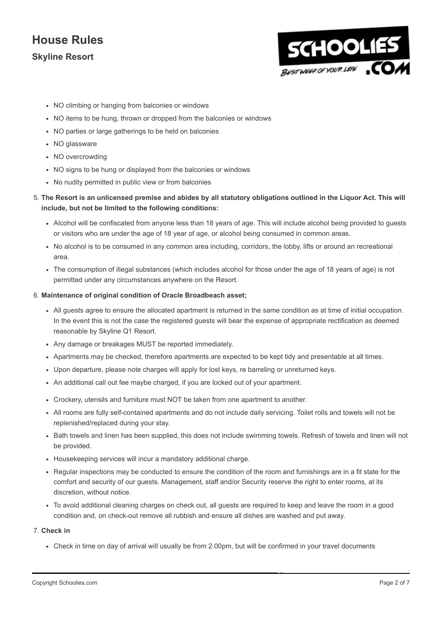

- NO climbing or hanging from balconies or windows
- NO items to be hung, thrown or dropped from the balconies or windows
- NO parties or large gatherings to be held on balconies
- NO glassware
- NO overcrowding
- NO signs to be hung or displayed from the balconies or windows
- No nudity permitted in public view or from balconies

### 5. The Resort is an unlicensed premise and abides by all statutory obligations outlined in the Liquor Act. This will include, but not be limited to the following conditions:

- Alcohol will be confiscated from anyone less than 18 years of age. This will include alcohol being provided to guests or visitors who are under the age of 18 year of age, or alcohol being consumed in common areas.
- No alcohol is to be consumed in any common area including, corridors, the lobby, lifts or around an recreational area.
- The consumption of illegal substances (which includes alcohol for those under the age of 18 years of age) is not permitted under any circumstances anywhere on the Resort.

#### 6. Maintenance of original condition of Oracle Broadbeach asset;

- All guests agree to ensure the allocated apartment is returned in the same condition as at time of initial occupation. In the event this is not the case the registered guests will bear the expense of appropriate rectification as deemed reasonable by Skyline Q1 Resort.
- Any damage or breakages MUST be reported immediately.
- Apartments may be checked, therefore apartments are expected to be kept tidy and presentable at all times.
- Upon departure, please note charges will apply for lost keys, re barreling or unreturned keys.
- An additional call out fee maybe charged, if you are locked out of your apartment.
- Crockery, utensils and furniture must NOT be taken from one apartment to another.
- All rooms are fully self-contained apartments and do not include daily servicing. Toilet rolls and towels will not be replenished/replaced during your stay.
- Bath towels and linen has been supplied, this does not include swimming towels. Refresh of towels and linen will not be provided.
- Housekeeping services will incur a mandatory additional charge.
- Regular inspections may be conducted to ensure the condition of the room and furnishings are in a fit state for the comfort and security of our guests. Management, staff and/or Security reserve the right to enter rooms, at its discretion, without notice.
- To avoid additional cleaning charges on check out, all guests are required to keep and leave the room in a good condition and, on check-out remove all rubbish and ensure all dishes are washed and put away.

#### 7. Check in

Check in time on day of arrival will usually be from 2.00pm, but will be confirmed in your travel documents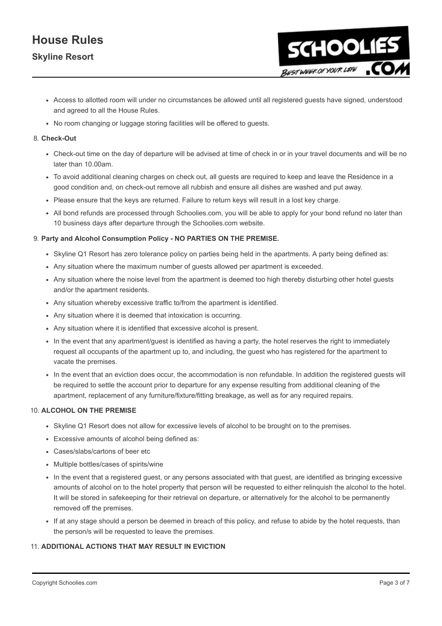

- Access to allotted room will under no circumstances be allowed until all registered guests have signed, understood and agreed to all the House Rules.
- No room changing or luggage storing facilities will be offered to guests.

#### 8. Check-Out

- Check-out time on the day of departure will be advised at time of check in or in your travel documents and will be no later than 10.00am.
- To avoid additional cleaning charges on check out, all guests are required to keep and leave the Residence in a good condition and, on check-out remove all rubbish and ensure all dishes are washed and put away.
- Please ensure that the keys are returned. Failure to return keys will result in a lost key charge.
- All bond refunds are processed through Schoolies.com, you will be able to apply for your bond refund no later than 10 business days after departure through the Schoolies.com website.

#### 9. Party and Alcohol Consumption Policy - NO PARTIES ON THE PREMISE.

- Skyline Q1 Resort has zero tolerance policy on parties being held in the apartments. A party being defined as:
- Any situation where the maximum number of guests allowed per apartment is exceeded.
- Any situation where the noise level from the apartment is deemed too high thereby disturbing other hotel guests and/or the apartment residents.
- Any situation whereby excessive traffic to/from the apartment is identified.
- Any situation where it is deemed that intoxication is occurring.
- Any situation where it is identified that excessive alcohol is present.
- In the event that any apartment/guest is identified as having a party, the hotel reserves the right to immediately request all occupants of the apartment up to, and including, the guest who has registered for the apartment to vacate the premises.
- In the event that an eviction does occur, the accommodation is non refundable. In addition the registered guests will be required to settle the account prior to departure for any expense resulting from additional cleaning of the apartment, replacement of any furniture/fixture/fitting breakage, as well as for any required repairs.

#### 10. ALCOHOL ON THE PREMISE

- Skyline Q1 Resort does not allow for excessive levels of alcohol to be brought on to the premises.
- Excessive amounts of alcohol being defined as:
- Cases/slabs/cartons of beer etc
- Multiple bottles/cases of spirits/wine
- In the event that a registered guest, or any persons associated with that guest, are identified as bringing excessive amounts of alcohol on to the hotel property that person will be requested to either relinquish the alcohol to the hotel. It will be stored in safekeeping for their retrieval on departure, or alternatively for the alcohol to be permanently removed off the premises.
- If at any stage should a person be deemed in breach of this policy, and refuse to abide by the hotel requests, than the person/s will be requested to leave the premises.

#### 11. ADDITIONAL ACTIONS THAT MAY RESULT IN EVICTION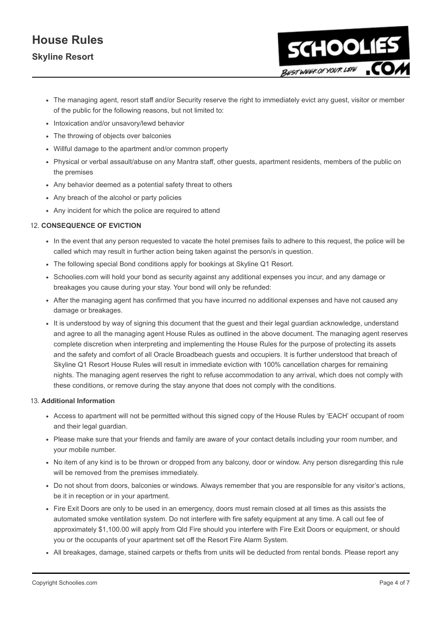# House Rules

### Skyline Resort

The managing agent, resort staff and/or Security reserve the right to immediately evict any guest, visitor or member of the public for the following reasons, but not limited to:

**SCHOOLIES** 

BESTWEEK OF YOUR LIFE

- Intoxication and/or unsavory/lewd behavior
- The throwing of objects over balconies
- Willful damage to the apartment and/or common property
- Physical or verbal assault/abuse on any Mantra staff, other guests, apartment residents, members of the public on the premises
- Any behavior deemed as a potential safety threat to others
- Any breach of the alcohol or party policies
- Any incident for which the police are required to attend

### 12. CONSEQUENCE OF EVICTION

- In the event that any person requested to vacate the hotel premises fails to adhere to this request, the police will be called which may result in further action being taken against the person/s in question.
- The following special Bond conditions apply for bookings at Skyline Q1 Resort.
- Schoolies.com will hold your bond as security against any additional expenses you incur, and any damage or breakages you cause during your stay. Your bond will only be refunded:
- After the managing agent has confirmed that you have incurred no additional expenses and have not caused any damage or breakages.
- It is understood by way of signing this document that the guest and their legal guardian acknowledge, understand and agree to all the managing agent House Rules as outlined in the above document. The managing agent reserves complete discretion when interpreting and implementing the House Rules for the purpose of protecting its assets and the safety and comfort of all Oracle Broadbeach guests and occupiers. It is further understood that breach of Skyline Q1 Resort House Rules will result in immediate eviction with 100% cancellation charges for remaining nights. The managing agent reserves the right to refuse accommodation to any arrival, which does not comply with these conditions, or remove during the stay anyone that does not comply with the conditions.

### 13. Additional Information

- Access to apartment will not be permitted without this signed copy of the House Rules by 'EACH' occupant of room and their legal guardian.
- Please make sure that your friends and family are aware of your contact details including your room number, and your mobile number.
- No item of any kind is to be thrown or dropped from any balcony, door or window. Any person disregarding this rule will be removed from the premises immediately.
- Do not shout from doors, balconies or windows. Always remember that you are responsible for any visitor's actions, be it in reception or in your apartment.
- Fire Exit Doors are only to be used in an emergency, doors must remain closed at all times as this assists the automated smoke ventilation system. Do not interfere with fire safety equipment at any time. A call out fee of approximately \$1,100.00 will apply from Qld Fire should you interfere with Fire Exit Doors or equipment, or should you or the occupants of your apartment set off the Resort Fire Alarm System.
- All breakages, damage, stained carpets or thefts from units will be deducted from rental bonds. Please report any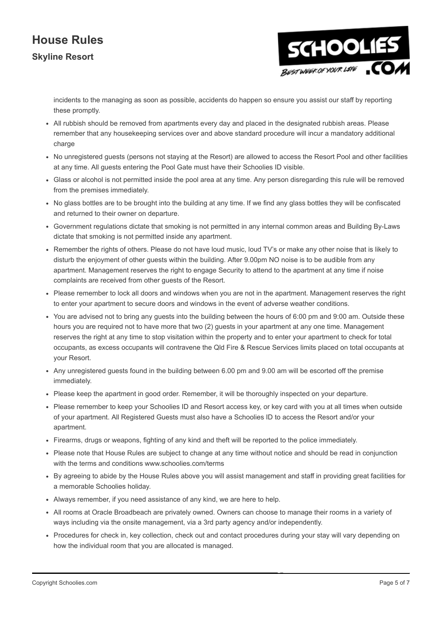

incidents to the managing as soon as possible, accidents do happen so ensure you assist our staff by reporting these promptly.

- All rubbish should be removed from apartments every day and placed in the designated rubbish areas. Please remember that any housekeeping services over and above standard procedure will incur a mandatory additional charge
- No unregistered guests (persons not staying at the Resort) are allowed to access the Resort Pool and other facilities at any time. All guests entering the Pool Gate must have their Schoolies ID visible.
- Glass or alcohol is not permitted inside the pool area at any time. Any person disregarding this rule will be removed from the premises immediately.
- No glass bottles are to be brought into the building at any time. If we find any glass bottles they will be confiscated and returned to their owner on departure.
- Government regulations dictate that smoking is not permitted in any internal common areas and Building By-Laws dictate that smoking is not permitted inside any apartment.
- Remember the rights of others. Please do not have loud music, loud TV's or make any other noise that is likely to disturb the enjoyment of other guests within the building. After 9.00pm NO noise is to be audible from any apartment. Management reserves the right to engage Security to attend to the apartment at any time if noise complaints are received from other guests of the Resort.
- Please remember to lock all doors and windows when you are not in the apartment. Management reserves the right to enter your apartment to secure doors and windows in the event of adverse weather conditions.
- You are advised not to bring any guests into the building between the hours of 6:00 pm and 9:00 am. Outside these hours you are required not to have more that two (2) guests in your apartment at any one time. Management reserves the right at any time to stop visitation within the property and to enter your apartment to check for total occupants, as excess occupants will contravene the Qld Fire & Rescue Services limits placed on total occupants at your Resort.
- Any unregistered guests found in the building between 6.00 pm and 9.00 am will be escorted off the premise immediately.
- Please keep the apartment in good order. Remember, it will be thoroughly inspected on your departure.
- Please remember to keep your Schoolies ID and Resort access key, or key card with you at all times when outside of your apartment. All Registered Guests must also have a Schoolies ID to access the Resort and/or your apartment.
- Firearms, drugs or weapons, fighting of any kind and theft will be reported to the police immediately.
- Please note that House Rules are subject to change at any time without notice and should be read in conjunction with the terms and conditions www.schoolies.com/terms
- By agreeing to abide by the House Rules above you will assist management and staff in providing great facilities for a memorable Schoolies holiday.
- Always remember, if you need assistance of any kind, we are here to help.
- All rooms at Oracle Broadbeach are privately owned. Owners can choose to manage their rooms in a variety of ways including via the onsite management, via a 3rd party agency and/or independently.
- Procedures for check in, key collection, check out and contact procedures during your stay will vary depending on how the individual room that you are allocated is managed.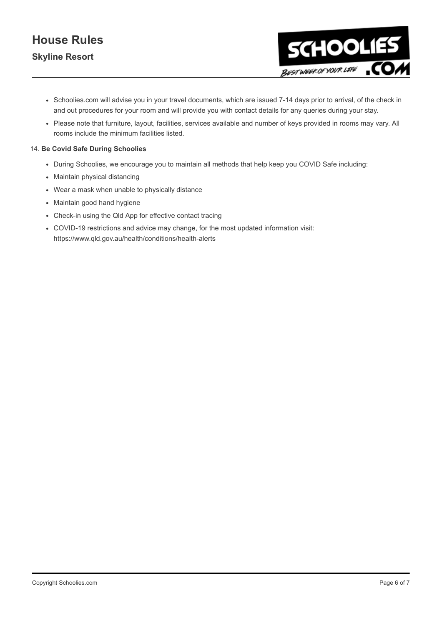

- Schoolies.com will advise you in your travel documents, which are issued 7-14 days prior to arrival, of the check in and out procedures for your room and will provide you with contact details for any queries during your stay.
- Please note that furniture, layout, facilities, services available and number of keys provided in rooms may vary. All rooms include the minimum facilities listed.

### 14. Be Covid Safe During Schoolies

- During Schoolies, we encourage you to maintain all methods that help keep you COVID Safe including:
- Maintain physical distancing
- Wear a mask when unable to physically distance
- Maintain good hand hygiene
- Check-in using the Qld App for effective contact tracing
- COVID-19 restrictions and advice may change, for the most updated information visit: https://www.qld.gov.au/health/conditions/health-alerts